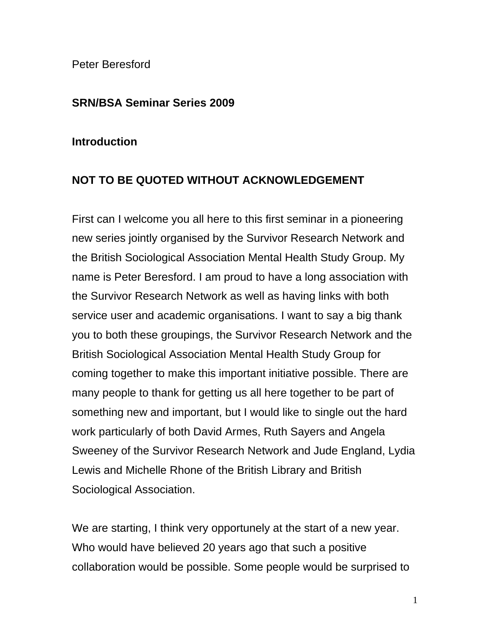Peter Beresford

## **SRN/BSA Seminar Series 2009**

## **Introduction**

## **NOT TO BE QUOTED WITHOUT ACKNOWLEDGEMENT**

First can I welcome you all here to this first seminar in a pioneering new series jointly organised by the Survivor Research Network and the British Sociological Association Mental Health Study Group. My name is Peter Beresford. I am proud to have a long association with the Survivor Research Network as well as having links with both service user and academic organisations. I want to say a big thank you to both these groupings, the Survivor Research Network and the British Sociological Association Mental Health Study Group for coming together to make this important initiative possible. There are many people to thank for getting us all here together to be part of something new and important, but I would like to single out the hard work particularly of both David Armes, Ruth Sayers and Angela Sweeney of the Survivor Research Network and Jude England, Lydia Lewis and Michelle Rhone of the British Library and British Sociological Association.

We are starting, I think very opportunely at the start of a new year. Who would have believed 20 years ago that such a positive collaboration would be possible. Some people would be surprised to

1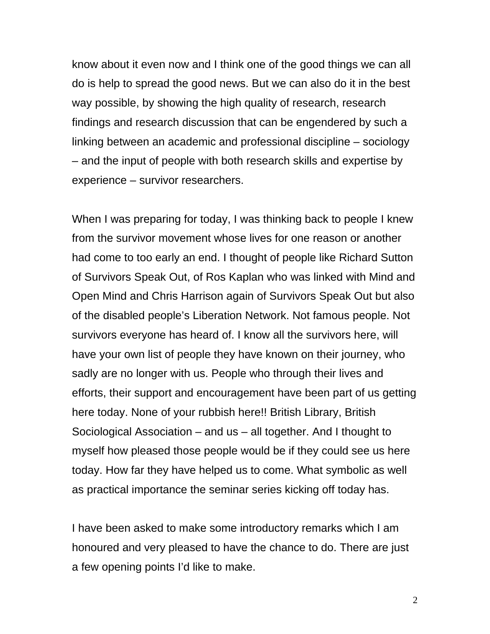know about it even now and I think one of the good things we can all do is help to spread the good news. But we can also do it in the best way possible, by showing the high quality of research, research findings and research discussion that can be engendered by such a linking between an academic and professional discipline – sociology – and the input of people with both research skills and expertise by experience – survivor researchers.

When I was preparing for today, I was thinking back to people I knew from the survivor movement whose lives for one reason or another had come to too early an end. I thought of people like Richard Sutton of Survivors Speak Out, of Ros Kaplan who was linked with Mind and Open Mind and Chris Harrison again of Survivors Speak Out but also of the disabled people's Liberation Network. Not famous people. Not survivors everyone has heard of. I know all the survivors here, will have your own list of people they have known on their journey, who sadly are no longer with us. People who through their lives and efforts, their support and encouragement have been part of us getting here today. None of your rubbish here!! British Library, British Sociological Association – and us – all together. And I thought to myself how pleased those people would be if they could see us here today. How far they have helped us to come. What symbolic as well as practical importance the seminar series kicking off today has.

I have been asked to make some introductory remarks which I am honoured and very pleased to have the chance to do. There are just a few opening points I'd like to make.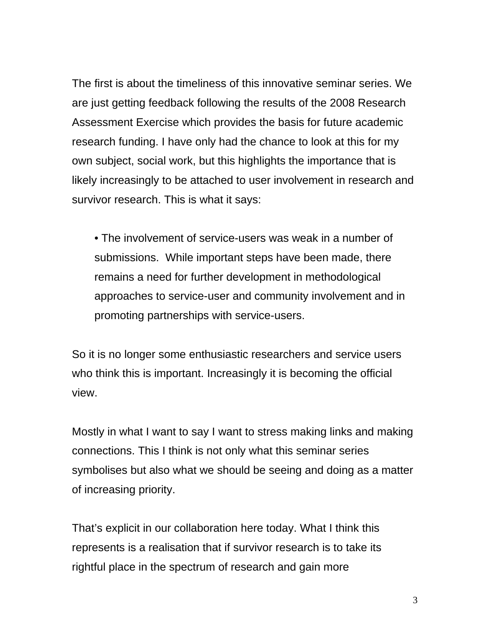The first is about the timeliness of this innovative seminar series. We are just getting feedback following the results of the 2008 Research Assessment Exercise which provides the basis for future academic research funding. I have only had the chance to look at this for my own subject, social work, but this highlights the importance that is likely increasingly to be attached to user involvement in research and survivor research. This is what it says:

• The involvement of service-users was weak in a number of submissions. While important steps have been made, there remains a need for further development in methodological approaches to service-user and community involvement and in promoting partnerships with service-users.

So it is no longer some enthusiastic researchers and service users who think this is important. Increasingly it is becoming the official view.

Mostly in what I want to say I want to stress making links and making connections. This I think is not only what this seminar series symbolises but also what we should be seeing and doing as a matter of increasing priority.

That's explicit in our collaboration here today. What I think this represents is a realisation that if survivor research is to take its rightful place in the spectrum of research and gain more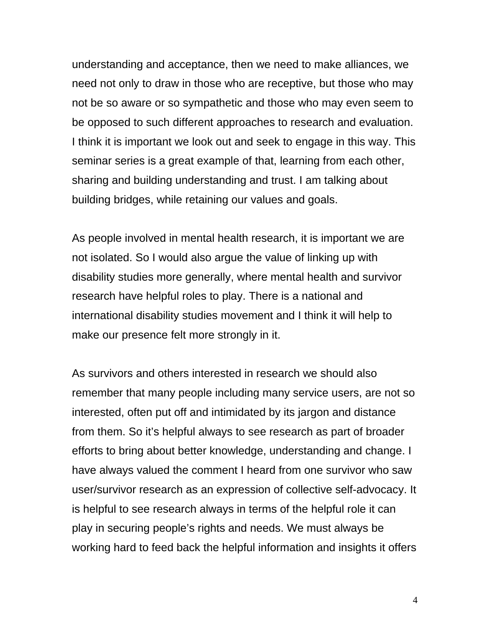understanding and acceptance, then we need to make alliances, we need not only to draw in those who are receptive, but those who may not be so aware or so sympathetic and those who may even seem to be opposed to such different approaches to research and evaluation. I think it is important we look out and seek to engage in this way. This seminar series is a great example of that, learning from each other, sharing and building understanding and trust. I am talking about building bridges, while retaining our values and goals.

As people involved in mental health research, it is important we are not isolated. So I would also argue the value of linking up with disability studies more generally, where mental health and survivor research have helpful roles to play. There is a national and international disability studies movement and I think it will help to make our presence felt more strongly in it.

As survivors and others interested in research we should also remember that many people including many service users, are not so interested, often put off and intimidated by its jargon and distance from them. So it's helpful always to see research as part of broader efforts to bring about better knowledge, understanding and change. I have always valued the comment I heard from one survivor who saw user/survivor research as an expression of collective self-advocacy. It is helpful to see research always in terms of the helpful role it can play in securing people's rights and needs. We must always be working hard to feed back the helpful information and insights it offers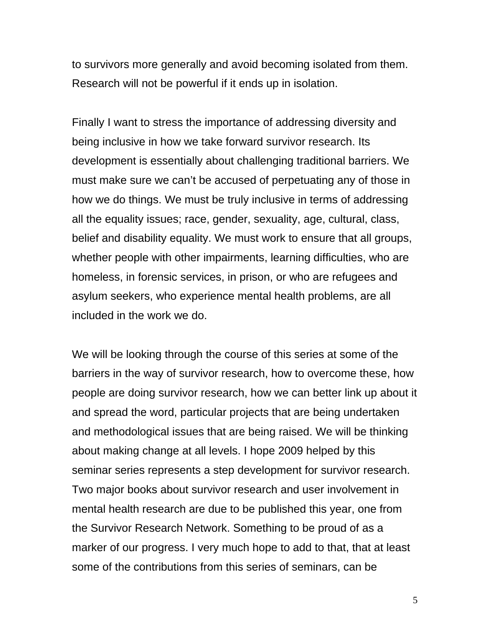to survivors more generally and avoid becoming isolated from them. Research will not be powerful if it ends up in isolation.

Finally I want to stress the importance of addressing diversity and being inclusive in how we take forward survivor research. Its development is essentially about challenging traditional barriers. We must make sure we can't be accused of perpetuating any of those in how we do things. We must be truly inclusive in terms of addressing all the equality issues; race, gender, sexuality, age, cultural, class, belief and disability equality. We must work to ensure that all groups, whether people with other impairments, learning difficulties, who are homeless, in forensic services, in prison, or who are refugees and asylum seekers, who experience mental health problems, are all included in the work we do.

We will be looking through the course of this series at some of the barriers in the way of survivor research, how to overcome these, how people are doing survivor research, how we can better link up about it and spread the word, particular projects that are being undertaken and methodological issues that are being raised. We will be thinking about making change at all levels. I hope 2009 helped by this seminar series represents a step development for survivor research. Two major books about survivor research and user involvement in mental health research are due to be published this year, one from the Survivor Research Network. Something to be proud of as a marker of our progress. I very much hope to add to that, that at least some of the contributions from this series of seminars, can be

5